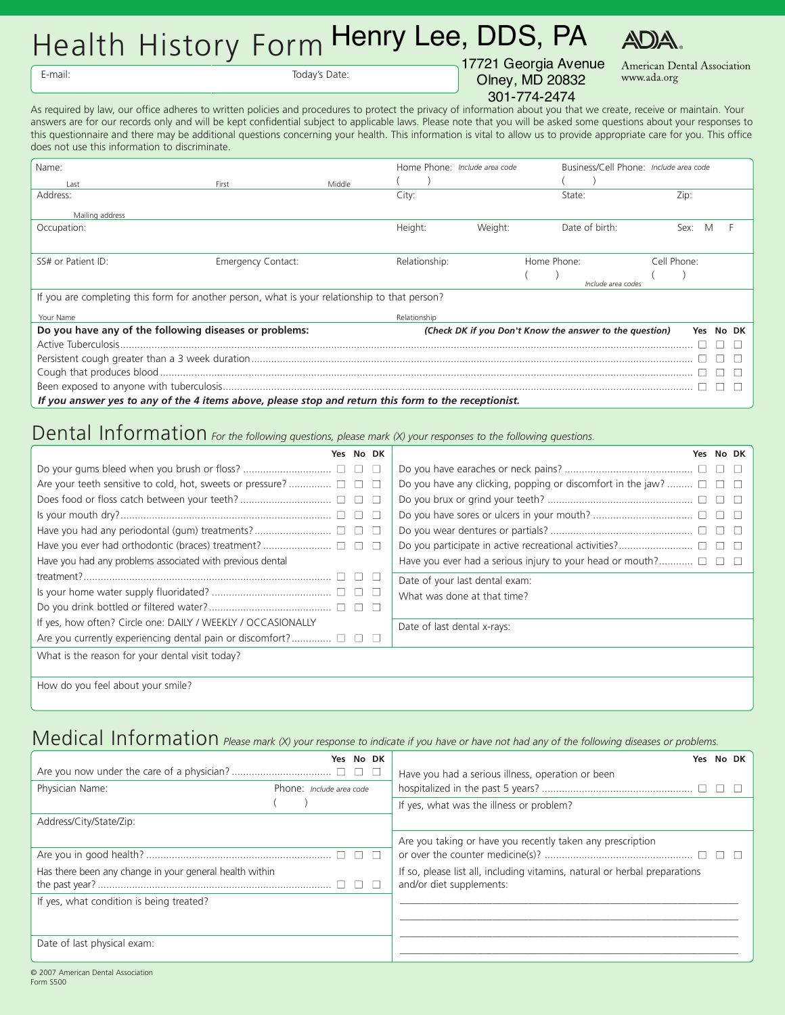## Health History Form Henry Lee, DDS, PA

E-mail: Today's Date:

17721 Georgia Avenue Olney, MD 20832

American Dental Association www.ada.org

301-774-2474

As required by law, our office adheres to written policies and procedures to protect the privacy of information about you that we create, receive or maintain. Your answers are for our records only and will be kept confidential subject to applicable laws. Please note that you will be asked some questions about your responses to this questionnaire and there may be additional questions concerning your health. This information is vital to allow us to provide appropriate care for you. This office does not use this information to discriminate.

| Name:                                                                                         |                    |        | Home Phone: Include area code |         | Business/Cell Phone: Include area code                  |             |       |  |
|-----------------------------------------------------------------------------------------------|--------------------|--------|-------------------------------|---------|---------------------------------------------------------|-------------|-------|--|
|                                                                                               |                    |        |                               |         |                                                         |             |       |  |
| Last<br>Address:                                                                              | First              | Middle | City:                         |         | State:                                                  | Zip:        |       |  |
|                                                                                               |                    |        |                               |         |                                                         |             |       |  |
| Mailing address                                                                               |                    |        |                               |         |                                                         |             |       |  |
| Occupation:                                                                                   |                    |        | Height:                       | Weight: | Date of birth:                                          | Sex:        |       |  |
|                                                                                               |                    |        |                               |         |                                                         |             |       |  |
| SS# or Patient ID:                                                                            | Emergency Contact: |        | Relationship:                 |         | Home Phone:                                             | Cell Phone: |       |  |
|                                                                                               |                    |        |                               |         |                                                         |             |       |  |
|                                                                                               |                    |        |                               |         | Include area codes                                      |             |       |  |
| If you are completing this form for another person, what is your relationship to that person? |                    |        |                               |         |                                                         |             |       |  |
| Your Name                                                                                     |                    |        | Relationship                  |         |                                                         |             |       |  |
| Do you have any of the following diseases or problems:                                        |                    |        |                               |         | (Check DK if you Don't Know the answer to the question) | Yes         | No DK |  |
|                                                                                               |                    |        |                               |         |                                                         |             |       |  |
|                                                                                               |                    |        |                               |         |                                                         |             |       |  |
|                                                                                               |                    |        |                               |         |                                                         |             |       |  |
|                                                                                               |                    |        |                               |         |                                                         |             |       |  |

*If you answer yes to any of the 4 items above, please stop and return this form to the receptionist.*

## Dental Information *For the following questions, please mark (X) your responses to the following questions*.

| Yes No DK                                                            | No DK<br>Yes                                                          |  |  |  |
|----------------------------------------------------------------------|-----------------------------------------------------------------------|--|--|--|
|                                                                      |                                                                       |  |  |  |
| Are your teeth sensitive to cold, hot, sweets or pressure? $\square$ | Do you have any clicking, popping or discomfort in the jaw? $\square$ |  |  |  |
|                                                                      |                                                                       |  |  |  |
| - U -<br>$\perp$                                                     |                                                                       |  |  |  |
|                                                                      |                                                                       |  |  |  |
| - 13                                                                 |                                                                       |  |  |  |
| Have you had any problems associated with previous dental            | Have you ever had a serious injury to your head or mouth? $\square$   |  |  |  |
|                                                                      | Date of your last dental exam:                                        |  |  |  |
| $\Box$                                                               | What was done at that time?                                           |  |  |  |
|                                                                      |                                                                       |  |  |  |
| If yes, how often? Circle one: DAILY / WEEKLY / OCCASIONALLY         | Date of last dental x-rays:                                           |  |  |  |
| Are you currently experiencing dental pain or discomfort? $\square$  |                                                                       |  |  |  |
| What is the reason for your dental visit today?                      |                                                                       |  |  |  |
|                                                                      |                                                                       |  |  |  |

How do you feel about your smile?

## Medical Information *Please mark (X) your response to indicate if you have or have not had any of the following diseases or problems.*

|                                                         | No DK<br>Yes             |                                                                            | Yes No DK |  |
|---------------------------------------------------------|--------------------------|----------------------------------------------------------------------------|-----------|--|
|                                                         |                          | Have you had a serious illness, operation or been                          |           |  |
| Physician Name:                                         | Phone: Include area code |                                                                            |           |  |
|                                                         |                          | If yes, what was the illness or problem?                                   |           |  |
| Address/City/State/Zip:                                 |                          |                                                                            |           |  |
|                                                         |                          | Are you taking or have you recently taken any prescription                 |           |  |
| a kara                                                  |                          |                                                                            |           |  |
| Has there been any change in your general health within |                          | If so, please list all, including vitamins, natural or herbal preparations |           |  |
|                                                         |                          | and/or diet supplements:                                                   |           |  |
| If yes, what condition is being treated?                |                          |                                                                            |           |  |
|                                                         |                          |                                                                            |           |  |
|                                                         |                          |                                                                            |           |  |
| Date of last physical exam:                             |                          |                                                                            |           |  |
|                                                         |                          |                                                                            |           |  |